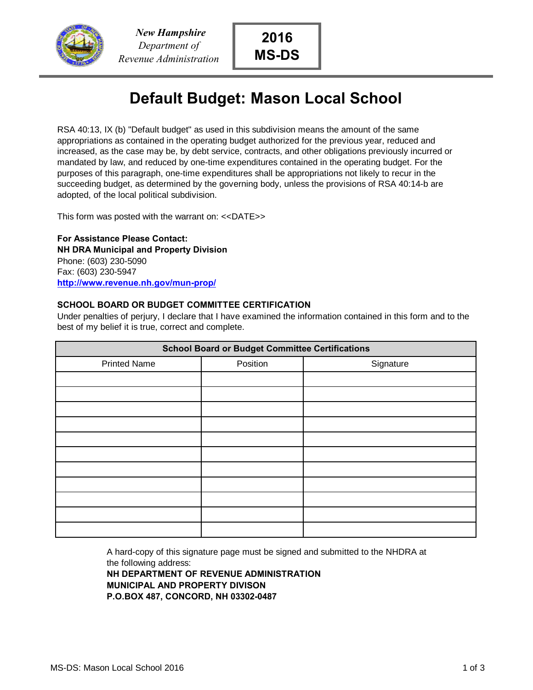

## **Default Budget: Mason Local School**

RSA 40:13, IX (b) "Default budget" as used in this subdivision means the amount of the same appropriations as contained in the operating budget authorized for the previous year, reduced and increased, as the case may be, by debt service, contracts, and other obligations previously incurred or mandated by law, and reduced by one-time expenditures contained in the operating budget. For the purposes of this paragraph, one-time expenditures shall be appropriations not likely to recur in the succeeding budget, as determined by the governing body, unless the provisions of RSA 40:14-b are adopted, of the local political subdivision.

This form was posted with the warrant on: <<DATE>>

**For Assistance Please Contact: NH DRA Municipal and Property Division** Phone: (603) 230-5090 Fax: (603) 230-5947 **http://www.revenue.nh.gov/mun-prop/**

## **SCHOOL BOARD OR BUDGET COMMITTEE CERTIFICATION**

Under penalties of perjury, I declare that I have examined the information contained in this form and to the best of my belief it is true, correct and complete.

| <b>School Board or Budget Committee Certifications</b> |          |           |  |  |  |
|--------------------------------------------------------|----------|-----------|--|--|--|
| <b>Printed Name</b>                                    | Position | Signature |  |  |  |
|                                                        |          |           |  |  |  |
|                                                        |          |           |  |  |  |
|                                                        |          |           |  |  |  |
|                                                        |          |           |  |  |  |
|                                                        |          |           |  |  |  |
|                                                        |          |           |  |  |  |
|                                                        |          |           |  |  |  |
|                                                        |          |           |  |  |  |
|                                                        |          |           |  |  |  |
|                                                        |          |           |  |  |  |
|                                                        |          |           |  |  |  |

A hard-copy of this signature page must be signed and submitted to the NHDRA at the following address:

**NH DEPARTMENT OF REVENUE ADMINISTRATION MUNICIPAL AND PROPERTY DIVISON P.O.BOX 487, CONCORD, NH 03302-0487**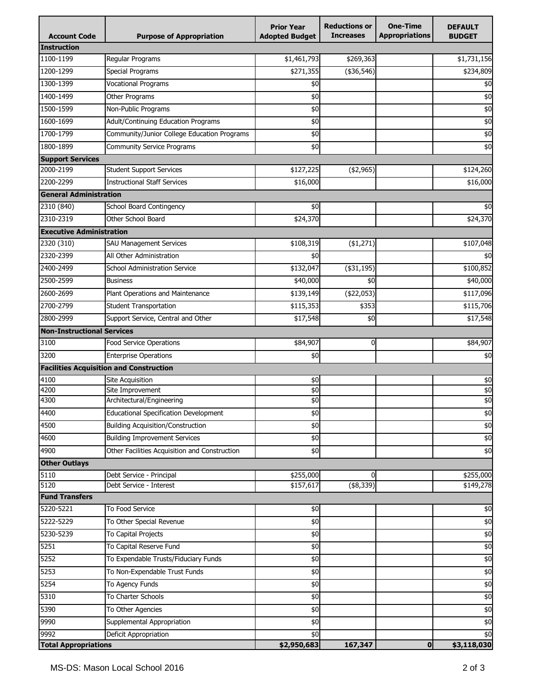| <b>Account Code</b>                 | <b>Purpose of Appropriation</b>                | <b>Prior Year</b><br><b>Adopted Budget</b> | <b>Reductions or</b><br><b>Increases</b> | <b>One-Time</b><br><b>Appropriations</b> | <b>DEFAULT</b><br><b>BUDGET</b> |
|-------------------------------------|------------------------------------------------|--------------------------------------------|------------------------------------------|------------------------------------------|---------------------------------|
| Instruction                         |                                                |                                            |                                          |                                          |                                 |
| 1100-1199                           | Regular Programs                               | \$1,461,793                                | \$269,363                                |                                          | \$1,731,156                     |
| 1200-1299                           | <b>Special Programs</b>                        | \$271,355                                  | (\$36,546)                               |                                          | \$234,809                       |
| 1300-1399                           | <b>Vocational Programs</b>                     | \$0                                        |                                          |                                          | \$0                             |
| 1400-1499                           | Other Programs                                 | \$0                                        |                                          |                                          | \$0                             |
| 1500-1599                           | Non-Public Programs                            | \$0                                        |                                          |                                          | $\frac{1}{2}$                   |
| 1600-1699                           | Adult/Continuing Education Programs            | \$0                                        |                                          |                                          | \$0                             |
| 1700-1799                           | Community/Junior College Education Programs    | \$0                                        |                                          |                                          | \$0                             |
| 1800-1899                           | <b>Community Service Programs</b>              | \$0                                        |                                          |                                          | $\overline{50}$                 |
| <b>Support Services</b>             |                                                |                                            |                                          |                                          |                                 |
| 2000-2199                           | <b>Student Support Services</b>                | \$127,225                                  | $(*2,965)$                               |                                          | \$124,260                       |
| 2200-2299                           | <b>Instructional Staff Services</b>            | \$16,000                                   |                                          |                                          | \$16,000                        |
| <b>General Administration</b>       |                                                |                                            |                                          |                                          |                                 |
| 2310 (840)                          | School Board Contingency                       | \$0                                        |                                          |                                          | \$0                             |
| 2310-2319                           | Other School Board                             | \$24,370                                   |                                          |                                          | \$24,370                        |
| <b>Executive Administration</b>     |                                                |                                            |                                          |                                          |                                 |
| 2320 (310)                          | <b>SAU Management Services</b>                 | \$108,319                                  | ( \$1,271)                               |                                          | \$107,048                       |
| 2320-2399                           | All Other Administration                       | \$0                                        |                                          |                                          | \$0                             |
| 2400-2499                           | <b>School Administration Service</b>           | \$132,047                                  | $(*31,195)$                              |                                          | \$100,852                       |
| 2500-2599                           | <b>Business</b>                                | \$40,000                                   | \$0                                      |                                          | \$40,000                        |
| 2600-2699                           | Plant Operations and Maintenance               | \$139,149                                  | $(*22,053)$                              |                                          | \$117,096                       |
| 2700-2799                           | <b>Student Transportation</b>                  | \$115,353                                  | \$353                                    |                                          | \$115,706                       |
| 2800-2999                           | Support Service, Central and Other             | \$17,548                                   | \$0                                      |                                          | \$17,548                        |
| <b>Non-Instructional Services</b>   |                                                |                                            |                                          |                                          |                                 |
| 3100                                | Food Service Operations                        | \$84,907                                   | 0                                        |                                          | \$84,907                        |
| 3200                                | <b>Enterprise Operations</b>                   | \$0                                        |                                          |                                          | \$0                             |
|                                     | <b>Facilities Acquisition and Construction</b> |                                            |                                          |                                          |                                 |
| 4100                                | Site Acquisition                               | \$0                                        |                                          |                                          | \$0                             |
| 4200                                | Site Improvement                               | \$0                                        |                                          |                                          | \$0                             |
| 4300                                | Architectural/Engineering                      | \$0                                        |                                          |                                          | \$0                             |
| 4400                                | <b>Educational Specification Development</b>   | \$0                                        |                                          |                                          | \$0                             |
| 4500                                | <b>Building Acquisition/Construction</b>       | \$0                                        |                                          |                                          | \$0                             |
| 4600                                | <b>Building Improvement Services</b>           | \$0                                        |                                          |                                          | $\frac{4}{6}$                   |
| 4900                                | Other Facilities Acquisition and Construction  | \$0                                        |                                          |                                          | \$0                             |
| <b>Other Outlays</b>                |                                                |                                            |                                          |                                          |                                 |
| 5110                                | Debt Service - Principal                       | \$255,000                                  | $\Omega$                                 |                                          | \$255,000                       |
| 5120                                | Debt Service - Interest                        | \$157,617                                  | $(*8,339)$                               |                                          | \$149,278                       |
| <b>Fund Transfers</b>               |                                                |                                            |                                          |                                          |                                 |
| 5220-5221                           | To Food Service                                | \$0                                        |                                          |                                          | \$0                             |
| 5222-5229                           | To Other Special Revenue                       | \$0                                        |                                          |                                          | \$0                             |
| 5230-5239                           | To Capital Projects                            | \$0                                        |                                          |                                          | $\frac{4}{3}$                   |
| 5251                                | To Capital Reserve Fund                        | \$0                                        |                                          |                                          | \$0                             |
| 5252                                | To Expendable Trusts/Fiduciary Funds           | \$0                                        |                                          |                                          | \$0                             |
| 5253                                | To Non-Expendable Trust Funds                  | \$0                                        |                                          |                                          | $\frac{4}{3}$                   |
| 5254                                | To Agency Funds                                | \$0                                        |                                          |                                          | $\frac{4}{3}$                   |
| 5310                                | To Charter Schools                             | \$0                                        |                                          |                                          | $\overline{60}$                 |
| 5390                                | To Other Agencies                              | \$0                                        |                                          |                                          | \$0                             |
| 9990                                | Supplemental Appropriation                     | \$0                                        |                                          |                                          | $\frac{4}{3}$                   |
| 9992<br><b>Total Appropriations</b> | Deficit Appropriation                          | \$0<br>\$2,950,683                         | 167,347                                  | $\mathbf 0$                              | \$0<br>\$3,118,030              |